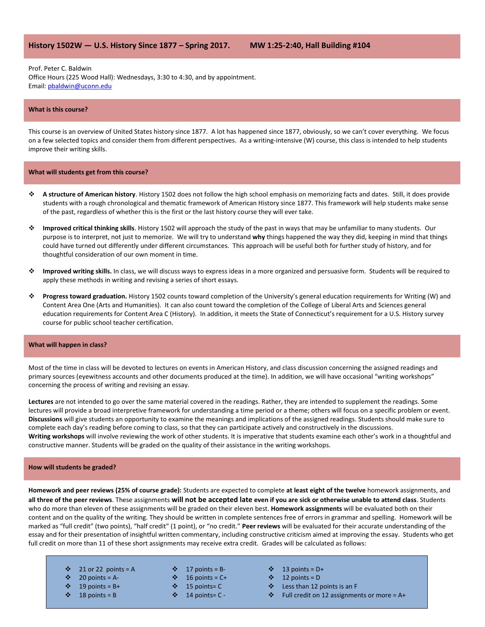# **History 1502W — U.S. History Since 1877 – Spring 2017. MW 1:25-2:40, Hall Building #104**

Prof. Peter C. Baldwin Office Hours (225 Wood Hall): Wednesdays, 3:30 to 4:30, and by appointment. Email[: pbaldwin@uconn.edu](mailto:pbaldwin@uconn.edu)

### **What is this course?**

This course is an overview of United States history since 1877. A lot has happened since 1877, obviously, so we can't cover everything. We focus on a few selected topics and consider them from different perspectives. As a writing-intensive (W) course, this class is intended to help students improve their writing skills.

#### **What will students get from this course?**

- **A structure of American history**. History 1502 does not follow the high school emphasis on memorizing facts and dates. Still, it does provide students with a rough chronological and thematic framework of American History since 1877. This framework will help students make sense of the past, regardless of whether this is the first or the last history course they will ever take.
- **Improved critical thinking skills**. History 1502 will approach the study of the past in ways that may be unfamiliar to many students. Our purpose is to interpret, not just to memorize. We will try to understand **why** things happened the way they did, keeping in mind that things could have turned out differently under different circumstances. This approach will be useful both for further study of history, and for thoughtful consideration of our own moment in time.
- **Improved writing skills.** In class, we will discuss ways to express ideas in a more organized and persuasive form. Students will be required to apply these methods in writing and revising a series of short essays.
- **Progress toward graduation.** History 1502 counts toward completion of the University's general education requirements for Writing (W) and Content Area One (Arts and Humanities). It can also count toward the completion of the College of Liberal Arts and Sciences general education requirements for Content Area C (History). In addition, it meets the State of Connecticut's requirement for a U.S. History survey course for public school teacher certification.

#### **What will happen in class?**

Most of the time in class will be devoted to lectures on events in American History, and class discussion concerning the assigned readings and primary sources (eyewitness accounts and other documents produced at the time). In addition, we will have occasional "writing workshops" concerning the process of writing and revising an essay.

**Lectures** are not intended to go over the same material covered in the readings. Rather, they are intended to supplement the readings. Some lectures will provide a broad interpretive framework for understanding a time period or a theme; others will focus on a specific problem or event. **Discussions** will give students an opportunity to examine the meanings and implications of the assigned readings. Students should make sure to complete each day's reading before coming to class, so that they can participate actively and constructively in the discussions. **Writing workshops** will involve reviewing the work of other students. It is imperative that students examine each other's work in a thoughtful and constructive manner. Students will be graded on the quality of their assistance in the writing workshops.

#### **How will students be graded?**

**Homework and peer reviews (25% of course grade):** Students are expected to complete **at least eight of the twelve** homework assignments, and **all three of the peer reviews**. These assignments **will not be accepted late even if you are sick or otherwise unable to attend class**. Students who do more than eleven of these assignments will be graded on their eleven best. **Homework assignments** will be evaluated both on their content and on the quality of the writing. They should be written in complete sentences free of errors in grammar and spelling. Homework will be marked as "full credit" (two points), "half credit" (1 point), or "no credit." **Peer reviews** will be evaluated for their accurate understanding of the essay and for their presentation of insightful written commentary, including constructive criticism aimed at improving the essay. Students who get full credit on more than 11 of these short assignments may receive extra credit. Grades will be calculated as follows:

- $\div$  21 or 22 points = A
- $\div$  20 points = A-
- $\div$  19 points = B+
- $\div$  18 points = B
- $\div$  17 points = B-
- $\div$  16 points = C+
- $\div$  15 points= C
- $\div$  14 points= C -
- $\div$  13 points = D+
- $\div$  12 points = D
- Less than 12 points is an F
	- $\div$  Full credit on 12 assignments or more = A+
-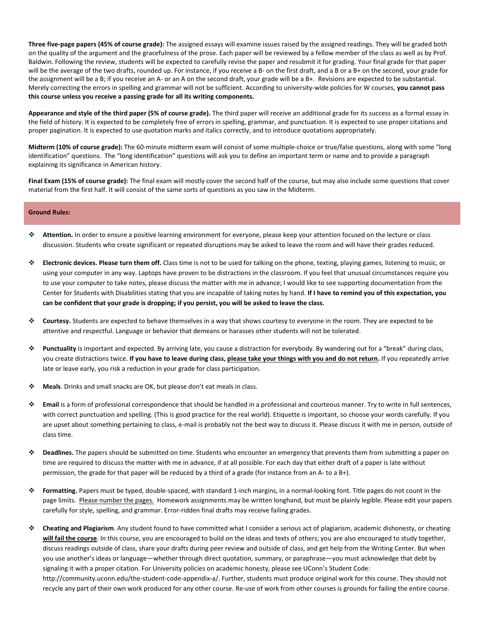**Three five-page papers (45% of course grade):** The assigned essays will examine issues raised by the assigned readings. They will be graded both on the quality of the argument and the gracefulness of the prose. Each paper will be reviewed by a fellow member of the class as well as by Prof. Baldwin. Following the review, students will be expected to carefully revise the paper and resubmit it for grading. Your final grade for that paper will be the average of the two drafts, rounded up. For instance, if you receive a B- on the first draft, and a B or a B+ on the second, your grade for the assignment will be a B; if you receive an A- or an A on the second draft, your grade will be a B+. Revisions are expected to be substantial. Merely correcting the errors in spelling and grammar will not be sufficient. According to university-wide policies for W courses, **you cannot pass this course unless you receive a passing grade for all its writing components.**

**Appearance and style of the third paper (5% of course grade).** The third paper will receive an additional grade for its success as a formal essay in the field of history. It is expected to be completely free of errors in spelling, grammar, and punctuation. It is expected to use proper citations and proper pagination. It is expected to use quotation marks and italics correctly, and to introduce quotations appropriately.

**Midterm (10% of course grade):** The 60-minute midterm exam will consist of some multiple-choice or true/false questions, along with some "long identification" questions. The "long identification" questions will ask you to define an important term or name and to provide a paragraph explaining its significance in American history.

**Final Exam (15% of course grade):** The final exam will mostly cover the second half of the course, but may also include some questions that cover material from the first half. It will consist of the same sorts of questions as you saw in the Midterm.

## **Ground Rules:**

- **Attention.** In order to ensure a positive learning environment for everyone, please keep your attention focused on the lecture or class discussion. Students who create significant or repeated disruptions may be asked to leave the room and will have their grades reduced.
- **Electronic devices. Please turn them off.** Class time is not to be used for talking on the phone, texting, playing games, listening to music, or using your computer in any way. Laptops have proven to be distractions in the classroom. If you feel that unusual circumstances require you to use your computer to take notes, please discuss the matter with me in advance; I would like to see supporting documentation from the Center for Students with Disabilities stating that you are incapable of taking notes by hand. **If I have to remind you of this expectation, you can be confident that your grade is dropping; if you persist, you will be asked to leave the class.**
- **Courtesy.** Students are expected to behave themselves in a way that shows courtesy to everyone in the room. They are expected to be attentive and respectful. Language or behavior that demeans or harasses other students will not be tolerated.
- **Punctuality** is important and expected. By arriving late, you cause a distraction for everybody. By wandering out for a "break" during class, you create distractions twice. If you have to leave during class, please take your things with you and do not return. If you repeatedly arrive late or leave early, you risk a reduction in your grade for class participation.
- **Meals**. Drinks and small snacks are OK, but please don't eat meals in class.
- **Email** is a form of professional correspondence that should be handled in a professional and courteous manner. Try to write in full sentences, with correct punctuation and spelling. (This is good practice for the real world). Etiquette is important, so choose your words carefully. If you are upset about something pertaining to class, e-mail is probably not the best way to discuss it. Please discuss it with me in person, outside of class time.
- **Deadlines.** The papers should be submitted on time. Students who encounter an emergency that prevents them from submitting a paper on time are required to discuss the matter with me in advance, if at all possible. For each day that either draft of a paper is late without permission, the grade for that paper will be reduced by a third of a grade (for instance from an A- to a B+).
- **Formatting.** Papers must be typed, double-spaced, with standard 1-inch margins, in a normal-looking font. Title pages do not count in the page limits. Please number the pages. Homework assignments may be written longhand, but must be plainly legible. Please edit your papers carefully for style, spelling, and grammar. Error-ridden final drafts may receive failing grades.
- **Cheating and Plagiarism**. Any student found to have committed what I consider a serious act of plagiarism, academic dishonesty, or cheating **will fail the course**. In this course, you are encouraged to build on the ideas and texts of others; you are also encouraged to study together, discuss readings outside of class, share your drafts during peer review and outside of class, and get help from the Writing Center. But when you use another's ideas or language—whether through direct quotation, summary, or paraphrase—you must acknowledge that debt by signaling it with a proper citation. For University policies on academic honesty, please see UConn's Student Code: http://community.uconn.edu/the-student-code-appendix-a/. Further, students must produce original work for this course. They should not recycle any part of their own work produced for any other course. Re-use of work from other courses is grounds for failing the entire course.